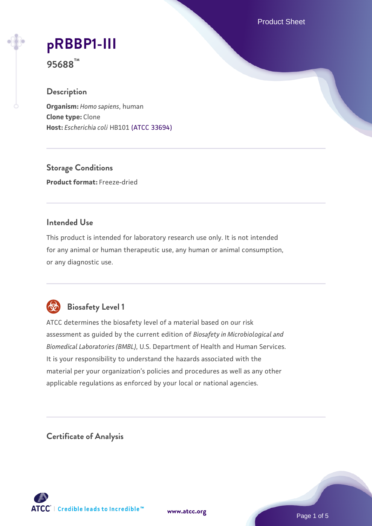Product Sheet

# **[pRBBP1-III](https://www.atcc.org/products/95688)**

**95688™**

# **Description**

**Organism:** *Homo sapiens*, human **Clone type:** Clone **Host:** *Escherichia coli* HB101 [\(ATCC 33694\)](https://www.atcc.org/products/33694)

**Storage Conditions Product format:** Freeze-dried

# **Intended Use**

This product is intended for laboratory research use only. It is not intended for any animal or human therapeutic use, any human or animal consumption, or any diagnostic use.



# **Biosafety Level 1**

ATCC determines the biosafety level of a material based on our risk assessment as guided by the current edition of *Biosafety in Microbiological and Biomedical Laboratories (BMBL)*, U.S. Department of Health and Human Services. It is your responsibility to understand the hazards associated with the material per your organization's policies and procedures as well as any other applicable regulations as enforced by your local or national agencies.

**Certificate of Analysis**

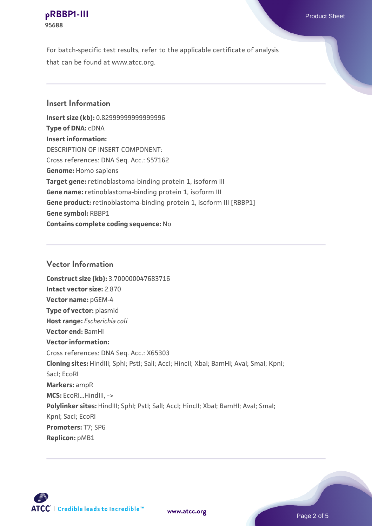#### **[pRBBP1-III](https://www.atcc.org/products/95688)** Product Sheet **95688**

For batch-specific test results, refer to the applicable certificate of analysis that can be found at www.atcc.org.

# **Insert Information**

**Insert size (kb):** 0.82999999999999996 **Type of DNA:** cDNA **Insert information:** DESCRIPTION OF INSERT COMPONENT: Cross references: DNA Seq. Acc.: S57162 **Genome:** Homo sapiens **Target gene:** retinoblastoma-binding protein 1, isoform III **Gene name:** retinoblastoma-binding protein 1, isoform III Gene product: retinoblastoma-binding protein 1, isoform III [RBBP1] **Gene symbol:** RBBP1 **Contains complete coding sequence:** No

# **Vector Information**

**Construct size (kb):** 3.700000047683716 **Intact vector size:** 2.870 **Vector name:** pGEM-4 **Type of vector:** plasmid **Host range:** *Escherichia coli* **Vector end:** BamHI **Vector information:** Cross references: DNA Seq. Acc.: X65303 **Cloning sites:** HindIII; SphI; PstI; SalI; AccI; HincII; XbaI; BamHI; AvaI; SmaI; KpnI; SacI; EcoRI **Markers:** ampR **MCS:** EcoRI...HindIII, -> Polylinker sites: HindIII; SphI; PstI; SalI; AccI; HincII; XbaI; BamHI; AvaI; SmaI; KpnI; SacI; EcoRI **Promoters:** T7; SP6 **Replicon:** pMB1



**[www.atcc.org](http://www.atcc.org)**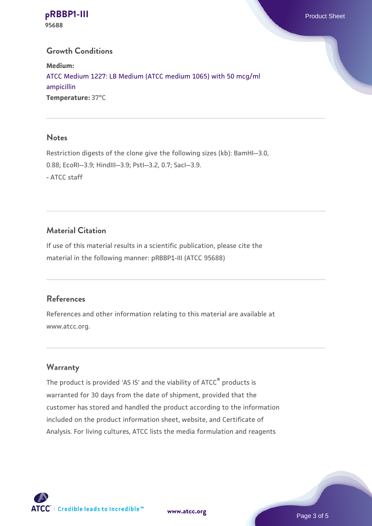**[pRBBP1-III](https://www.atcc.org/products/95688)** Product Sheet **95688**

## **Growth Conditions**

**Medium:**  [ATCC Medium 1227: LB Medium \(ATCC medium 1065\) with 50 mcg/ml](https://www.atcc.org/-/media/product-assets/documents/microbial-media-formulations/1/2/2/7/atcc-medium-1227.pdf?rev=581c98603b3e4b29a6d62ee0ba9ca578) [ampicillin](https://www.atcc.org/-/media/product-assets/documents/microbial-media-formulations/1/2/2/7/atcc-medium-1227.pdf?rev=581c98603b3e4b29a6d62ee0ba9ca578) **Temperature:** 37°C

#### **Notes**

Restriction digests of the clone give the following sizes (kb): BamHI--3.0, 0.88; EcoRI--3.9; HindIII--3.9; PstI--3.2, 0.7; SacI--3.9. - ATCC staff

# **Material Citation**

If use of this material results in a scientific publication, please cite the material in the following manner: pRBBP1-III (ATCC 95688)

#### **References**

References and other information relating to this material are available at www.atcc.org.

#### **Warranty**

The product is provided 'AS IS' and the viability of ATCC® products is warranted for 30 days from the date of shipment, provided that the customer has stored and handled the product according to the information included on the product information sheet, website, and Certificate of Analysis. For living cultures, ATCC lists the media formulation and reagents

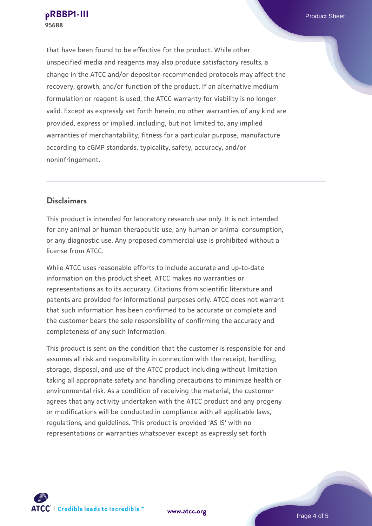that have been found to be effective for the product. While other unspecified media and reagents may also produce satisfactory results, a change in the ATCC and/or depositor-recommended protocols may affect the recovery, growth, and/or function of the product. If an alternative medium formulation or reagent is used, the ATCC warranty for viability is no longer valid. Except as expressly set forth herein, no other warranties of any kind are provided, express or implied, including, but not limited to, any implied warranties of merchantability, fitness for a particular purpose, manufacture according to cGMP standards, typicality, safety, accuracy, and/or noninfringement.

#### **Disclaimers**

This product is intended for laboratory research use only. It is not intended for any animal or human therapeutic use, any human or animal consumption, or any diagnostic use. Any proposed commercial use is prohibited without a license from ATCC.

While ATCC uses reasonable efforts to include accurate and up-to-date information on this product sheet, ATCC makes no warranties or representations as to its accuracy. Citations from scientific literature and patents are provided for informational purposes only. ATCC does not warrant that such information has been confirmed to be accurate or complete and the customer bears the sole responsibility of confirming the accuracy and completeness of any such information.

This product is sent on the condition that the customer is responsible for and assumes all risk and responsibility in connection with the receipt, handling, storage, disposal, and use of the ATCC product including without limitation taking all appropriate safety and handling precautions to minimize health or environmental risk. As a condition of receiving the material, the customer agrees that any activity undertaken with the ATCC product and any progeny or modifications will be conducted in compliance with all applicable laws, regulations, and guidelines. This product is provided 'AS IS' with no representations or warranties whatsoever except as expressly set forth